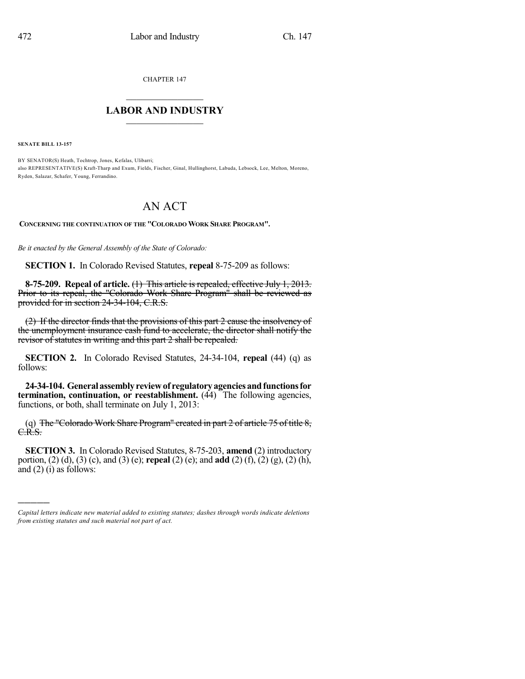CHAPTER 147

## $\overline{\phantom{a}}$  . The set of the set of the set of the set of the set of the set of the set of the set of the set of the set of the set of the set of the set of the set of the set of the set of the set of the set of the set o **LABOR AND INDUSTRY**  $\frac{1}{\sqrt{2}}$  ,  $\frac{1}{\sqrt{2}}$  ,  $\frac{1}{\sqrt{2}}$  ,  $\frac{1}{\sqrt{2}}$  ,  $\frac{1}{\sqrt{2}}$  ,  $\frac{1}{\sqrt{2}}$

**SENATE BILL 13-157**

)))))

BY SENATOR(S) Heath, Tochtrop, Jones, Kefalas, Ulibarri; also REPRESENTATIVE(S) Kraft-Tharp and Exum, Fields, Fischer, Ginal, Hullinghorst, Labuda, Lebsock, Lee, Melton, Moreno, Ryden, Salazar, Schafer, Young, Ferrandino.

## AN ACT

**CONCERNING THE CONTINUATION OF THE "COLORADO WORK SHARE PROGRAM".**

*Be it enacted by the General Assembly of the State of Colorado:*

**SECTION 1.** In Colorado Revised Statutes, **repeal** 8-75-209 as follows:

**8-75-209. Repeal of article.** (1) This article is repealed, effective July 1, 2013. Prior to its repeal, the "Colorado Work Share Program" shall be reviewed as provided for in section 24-34-104, C.R.S.

(2) If the director finds that the provisions of this part 2 cause the insolvency of the unemployment insurance cash fund to accelerate, the director shall notify the revisor of statutes in writing and this part 2 shall be repealed.

**SECTION 2.** In Colorado Revised Statutes, 24-34-104, **repeal** (44) (q) as follows:

**24-34-104. Generalassemblyreviewof regulatoryagenciesandfunctionsfor termination, continuation, or reestablishment.** (44) The following agencies, functions, or both, shall terminate on July 1, 2013:

(q) The "Colorado Work Share Program" created in part 2 of article 75 of title 8, C.R.S.

**SECTION 3.** In Colorado Revised Statutes, 8-75-203, **amend** (2) introductory portion, (2) (d), (3) (c), and (3) (e); **repeal** (2) (e); and **add** (2) (f), (2) (g), (2) (h), and (2) (i) as follows:

*Capital letters indicate new material added to existing statutes; dashes through words indicate deletions from existing statutes and such material not part of act.*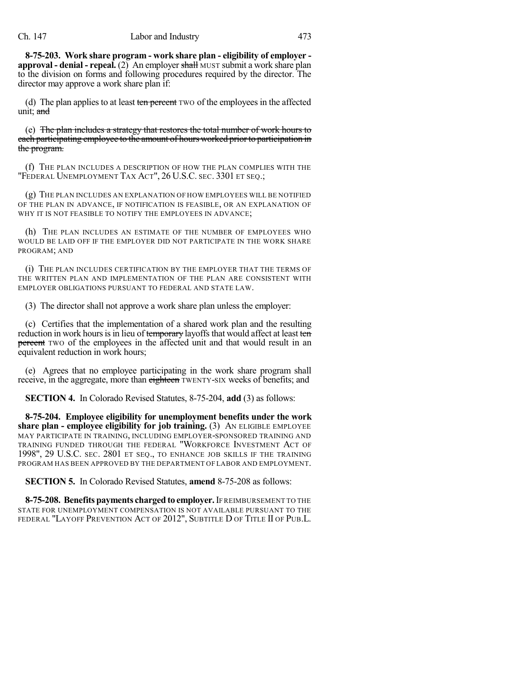**8-75-203. Work share program - work share plan - eligibility of employer approval - denial - repeal.** (2) An employer shall MUST submit a work share plan to the division on forms and following procedures required by the director. The director may approve a work share plan if:

(d) The plan applies to at least ten percent TWO of the employees in the affected unit; and

(e) The plan includes a strategy that restores the total number of work hours to each participating employee to the amount of hours worked prior to participation in the program.

(f) THE PLAN INCLUDES A DESCRIPTION OF HOW THE PLAN COMPLIES WITH THE "FEDERAL UNEMPLOYMENT TAX ACT", 26 U.S.C. SEC. 3301 ET SEQ.;

(g) THE PLAN INCLUDES AN EXPLANATION OF HOW EMPLOYEES WILL BE NOTIFIED OF THE PLAN IN ADVANCE, IF NOTIFICATION IS FEASIBLE, OR AN EXPLANATION OF WHY IT IS NOT FEASIBLE TO NOTIFY THE EMPLOYEES IN ADVANCE;

(h) THE PLAN INCLUDES AN ESTIMATE OF THE NUMBER OF EMPLOYEES WHO WOULD BE LAID OFF IF THE EMPLOYER DID NOT PARTICIPATE IN THE WORK SHARE PROGRAM; AND

(i) THE PLAN INCLUDES CERTIFICATION BY THE EMPLOYER THAT THE TERMS OF THE WRITTEN PLAN AND IMPLEMENTATION OF THE PLAN ARE CONSISTENT WITH EMPLOYER OBLIGATIONS PURSUANT TO FEDERAL AND STATE LAW.

(3) The director shall not approve a work share plan unless the employer:

(c) Certifies that the implementation of a shared work plan and the resulting reduction in work hours is in lieu of temporary layoffs that would affect at least ten **percent** TWO of the employees in the affected unit and that would result in an equivalent reduction in work hours;

(e) Agrees that no employee participating in the work share program shall receive, in the aggregate, more than eighteen TWENTY-SIX weeks of benefits; and

**SECTION 4.** In Colorado Revised Statutes, 8-75-204, **add** (3) as follows:

**8-75-204. Employee eligibility for unemployment benefits under the work share plan - employee eligibility for job training.** (3) AN ELIGIBLE EMPLOYEE MAY PARTICIPATE IN TRAINING, INCLUDING EMPLOYER-SPONSORED TRAINING AND TRAINING FUNDED THROUGH THE FEDERAL "WORKFORCE INVESTMENT ACT OF 1998", 29 U.S.C. SEC. 2801 ET SEQ., TO ENHANCE JOB SKILLS IF THE TRAINING PROGRAM HAS BEEN APPROVED BY THE DEPARTMENT OF LABOR AND EMPLOYMENT.

**SECTION 5.** In Colorado Revised Statutes, **amend** 8-75-208 as follows:

**8-75-208. Benefits payments charged to employer.**IF REIMBURSEMENT TO THE STATE FOR UNEMPLOYMENT COMPENSATION IS NOT AVAILABLE PURSUANT TO THE FEDERAL "LAYOFF PREVENTION ACT OF 2012", SUBTITLE D OF TITLE II OF PUB.L.